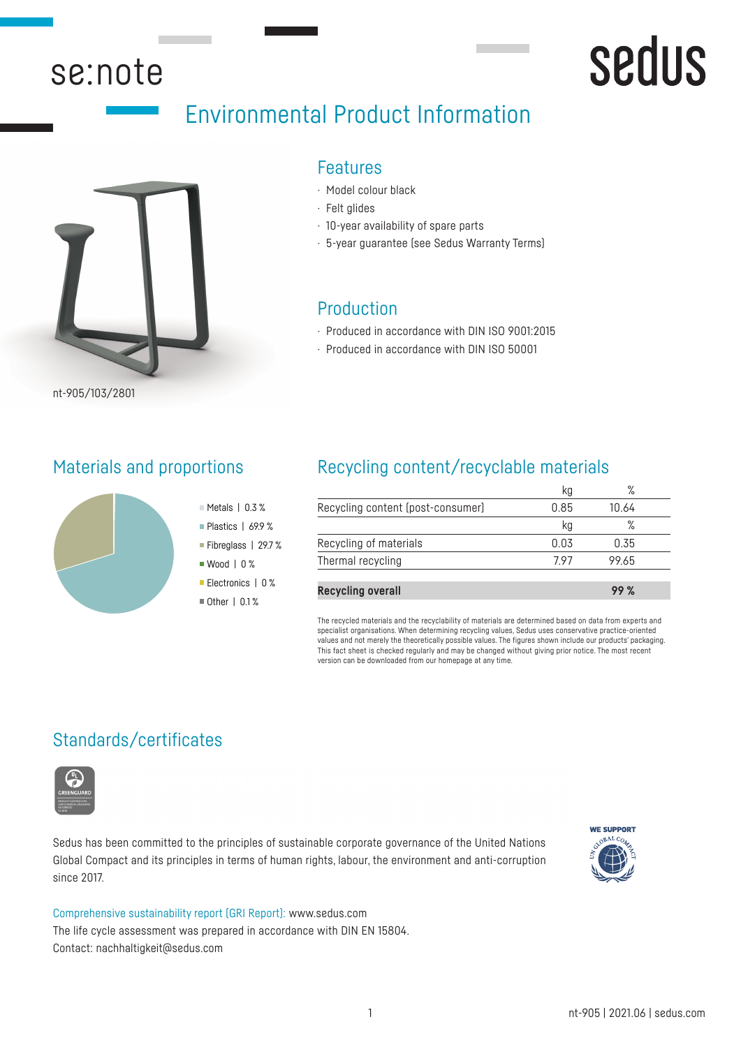## se:note

## Environmental Product Information



nt-905/103/2801

#### Features

- · Model colour black
- · Felt glides
- · 10-year availability of spare parts
- · 5-year guarantee (see Sedus Warranty Terms)

#### Production

- · Produced in accordance with DIN ISO 9001:2015
- · Produced in accordance with DIN ISO 50001

## Materials and proportions



## Recycling content/recyclable materials

| 0.85 | 10.64 |     |
|------|-------|-----|
| кg   | ℅     |     |
| 0.03 | 0.35  |     |
| 797  | 99.65 |     |
|      |       |     |
|      |       | 99% |

The recycled materials and the recyclability of materials are determined based on data from experts and specialist organisations. When determining recycling values, Sedus uses conservative practice-oriented values and not merely the theoretically possible values. The figures shown include our products' packaging. This fact sheet is checked regularly and may be changed without giving prior notice. The most recent version can be downloaded from our homepage at any time.

## Standards/certificates



Sedus has been committed to the principles of sustainable corporate governance of the United Nations Global Compact and its principles in terms of human rights, labour, the environment and anti-corruption since 2017.



**Sedus** 

Comprehensive sustainability report (GRI Report): www.sedus.com The life cycle assessment was prepared in accordance with DIN EN 15804. Contact: nachhaltigkeit@sedus.com

Metals | 0.3 % Plastics | 69.9 % Fibreglass | 29.7 % ■ Wood | 0 % Electronics | 0 %  $\blacksquare$  Other | 0.1 %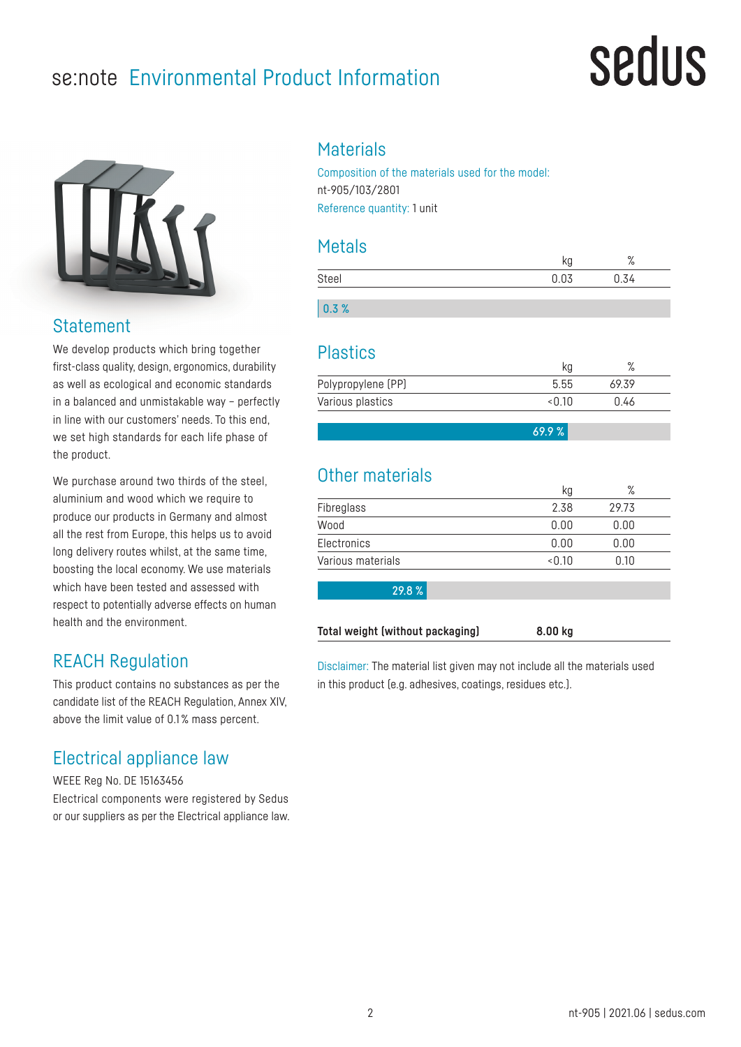## se:note Environmental Product Information

# sedus



## **Statement**

We develop products which bring together first-class quality, design, ergonomics, durability as well as ecological and economic standards in a balanced and unmistakable way – perfectly in line with our customers' needs. To this end, we set high standards for each life phase of the product.

We purchase around two thirds of the steel, aluminium and wood which we require to produce our products in Germany and almost all the rest from Europe, this helps us to avoid long delivery routes whilst, at the same time, boosting the local economy. We use materials which have been tested and assessed with respect to potentially adverse effects on human health and the environment.

## REACH Regulation

This product contains no substances as per the candidate list of the REACH Regulation, Annex XIV, above the limit value of 0.1 % mass percent.

## Electrical appliance law

WEEE Reg No. DE 15163456 Electrical components were registered by Sedus or our suppliers as per the Electrical appliance law.

## **Materials**

Composition of the materials used for the model: nt-905/103/2801 Reference quantity: 1 unit

### Metals

|        |      | $\mathsf{o}$ |  |
|--------|------|--------------|--|
| Steel  | 0.03 | .34          |  |
|        |      |              |  |
| ______ |      |              |  |

0.3 %

## Plastics

|                    |       | 70    |
|--------------------|-------|-------|
| Polypropylene (PP) | 5.55  | 69.39 |
| Various plastics   | <በ 1በ | 0.46  |

69.9 %

## Other materials

|                   | κg     | $\mathsf{o}$<br>/о |  |
|-------------------|--------|--------------------|--|
| Fibreglass        | 2.38   | 29.73              |  |
| Wood              | 0.00   | 0.00               |  |
| Electronics       | 0.00   | 0.00               |  |
| Various materials | < 0.10 | 0.10               |  |

29.8 %

**Total weight (without packaging) 8.00 kg**

Disclaimer: The material list given may not include all the materials used in this product (e.g. adhesives, coatings, residues etc.).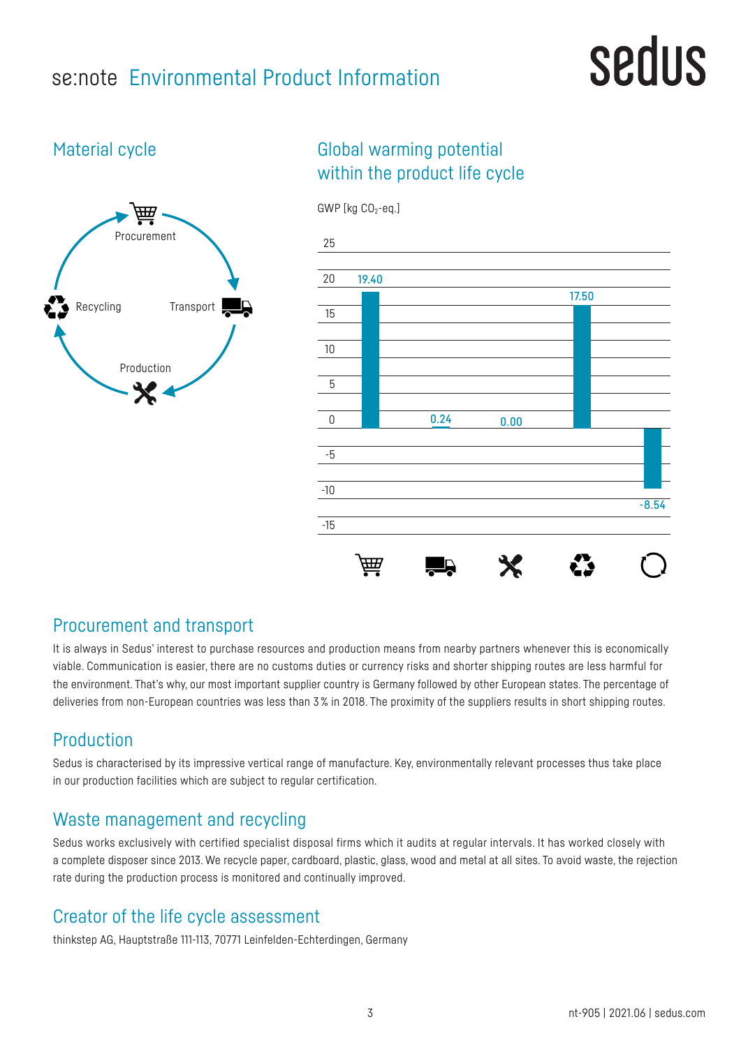## se:note Environmental Product Information

# sedus

## Material cycle



## Global warming potential within the product life cycle



## Procurement and transport

It is always in Sedus' interest to purchase resources and production means from nearby partners whenever this is economically viable. Communication is easier, there are no customs duties or currency risks and shorter shipping routes are less harmful for the environment. That's why, our most important supplier country is Germany followed by other European states. The percentage of deliveries from non-European countries was less than 3% in 2018. The proximity of the suppliers results in short shipping routes.

## Production

Sedus is characterised by its impressive vertical range of manufacture. Key, environmentally relevant processes thus take place in our production facilities which are subject to regular certification.

## Waste management and recycling

Sedus works exclusively with certified specialist disposal firms which it audits at regular intervals. It has worked closely with a complete disposer since 2013. We recycle paper, cardboard, plastic, glass, wood and metal at all sites. To avoid waste, the rejection rate during the production process is monitored and continually improved.

## Creator of the life cycle assessment

thinkstep AG, Hauptstraße 111-113, 70771 Leinfelden-Echterdingen, Germany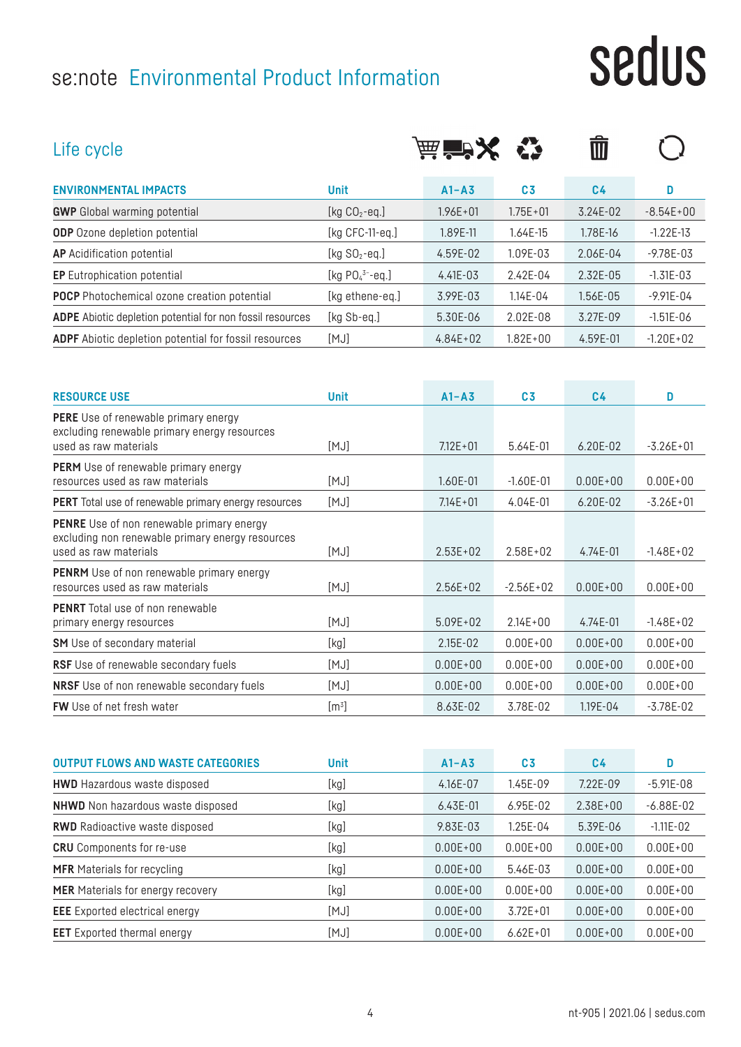## se:note Environmental Product Information

**FW** Use of net fresh water  $[m^3]$ 

# sedus

| Life cycle                                                                                                                    |                       | 演賞※          |                | Ŵ              |               |
|-------------------------------------------------------------------------------------------------------------------------------|-----------------------|--------------|----------------|----------------|---------------|
| <b>ENVIRONMENTAL IMPACTS</b>                                                                                                  | <b>Unit</b>           | $A1 - A3$    | C <sub>3</sub> | C <sub>4</sub> | D             |
| <b>GWP</b> Global warming potential                                                                                           | [kg $CO2$ -eq.]       | $1.96E + 01$ | $1.75E + 01$   | 3.24E-02       | $-8.54E+00$   |
| <b>ODP</b> Ozone depletion potential                                                                                          | [ $kg$ CFC-11-eq.]    | 1.89E-11     | 1.64E-15       | 1.78E-16       | $-1.22E-13$   |
| <b>AP</b> Acidification potential                                                                                             | [kg $SO_2$ -eq.]      | 4.59E-02     | 1.09E-03       | 2.06E-04       | $-9.78E - 03$ |
| <b>EP</b> Eutrophication potential                                                                                            | [kg $PO_4^{3-}$ -eq.] | 4.41E-03     | 2.42E-04       | 2.32E-05       | $-1.31E-03$   |
| <b>POCP</b> Photochemical ozone creation potential                                                                            | [kg ethene-eq.]       | 3.99E-03     | 1.14E-04       | 1.56E-05       | $-9.91E - 04$ |
| <b>ADPE</b> Abiotic depletion potential for non fossil resources                                                              | [kg Sb-eq.]           | 5.30E-06     | 2.02E-08       | 3.27E-09       | $-1.51E-06$   |
| <b>ADPF</b> Abiotic depletion potential for fossil resources                                                                  | [MJ]                  | $4.84E + 02$ | $1.82E + 00$   | 4.59E-01       | $-1.20E + 02$ |
| <b>RESOURCE USE</b>                                                                                                           | <b>Unit</b>           | $A1 - A3$    | C <sub>3</sub> | C <sub>4</sub> | D             |
| <b>PERE</b> Use of renewable primary energy<br>excluding renewable primary energy resources<br>used as raw materials          | [MJ]                  | $7.12E + 01$ | 5.64E-01       | 6.20E-02       | $-3.26E + 01$ |
| <b>PERM</b> Use of renewable primary energy<br>resources used as raw materials                                                | [MJ]                  | 1.60E-01     | $-1.60E-01$    | $0.00E + 00$   | $0.00E + 00$  |
| <b>PERT</b> Total use of renewable primary energy resources                                                                   | [MJ]                  | $7.14E + 01$ | 4.04E-01       | 6.20E-02       | $-3.26E + 01$ |
| <b>PENRE</b> Use of non renewable primary energy<br>excluding non renewable primary energy resources<br>used as raw materials | [MJ]                  | $2.53E + 02$ | $2.58E + 02$   | $4.74E - 01$   | $-1.48E + 02$ |
| <b>PENRM</b> Use of non renewable primary energy<br>resources used as raw materials                                           | [MJ]                  | $2.56E + 02$ | $-2.56E + 02$  | $0.00E + 00$   | $0.00E + 00$  |
| <b>PENRT</b> Total use of non renewable<br>primary energy resources                                                           | [MJ]                  | $5.09E + 02$ | $2.14E + 00$   | $4.74E - 01$   | $-1.48E + 02$ |
| <b>SM</b> Use of secondary material                                                                                           | [kg]                  | 2.15E-02     | $0.00E + 00$   | $0.00E + 00$   | $0.00E + 00$  |

| <b>OUTPUT FLOWS AND WASTE CATEGORIES</b> | Unit | $A1 - A3$    | C <sub>3</sub> | C <sub>4</sub> | D             |
|------------------------------------------|------|--------------|----------------|----------------|---------------|
| <b>HWD</b> Hazardous waste disposed      | [kg] | 4.16E-07     | 1.45E-09       | 7.22E-09       | $-5.91E - 08$ |
| <b>NHWD</b> Non hazardous waste disposed | [kg] | $6.43E - 01$ | 6.95E-02       | $2.38E + 00$   | $-6.88E - 02$ |
| <b>RWD</b> Radioactive waste disposed    | [kg] | 9.83E-03     | 1.25E-04       | 5.39E-06       | $-1.11E - 02$ |
| <b>CRU</b> Components for re-use         | [kg] | $0.00E + 00$ | $0.00E + 00$   | $0.00E + 00$   | $0.00E + 00$  |
| <b>MFR</b> Materials for recycling       | [kg] | $0.00E + 00$ | 5.46E-03       | $0.00E + 00$   | $0.00E + 00$  |
| <b>MER</b> Materials for energy recovery | [kg] | $0.00E + 00$ | $0.00E + 00$   | $0.00E + 00$   | $0.00E + 00$  |
| <b>EEE</b> Exported electrical energy    | [MJ] | $0.00E + 00$ | $3.72E + 01$   | $0.00E + 00$   | $0.00E + 00$  |
| <b>EET</b> Exported thermal energy       | [MJ] | $0.00E + 00$ | $6.62E + 01$   | $0.00E + 00$   | $0.00E + 00$  |

**RSF** Use of renewable secondary fuels [MJ] 0.00E+00 0.00E+00 0.00E+00 0.00E+00 0.00E+00 **NRSF** Use of non renewable secondary fuels [MJ] 0.00E+00 0.00E+00 0.00E+00 0.00E+00 0.00E+00

] 8.63E-02 3.78E-02 1.19E-04 -3.78E-02